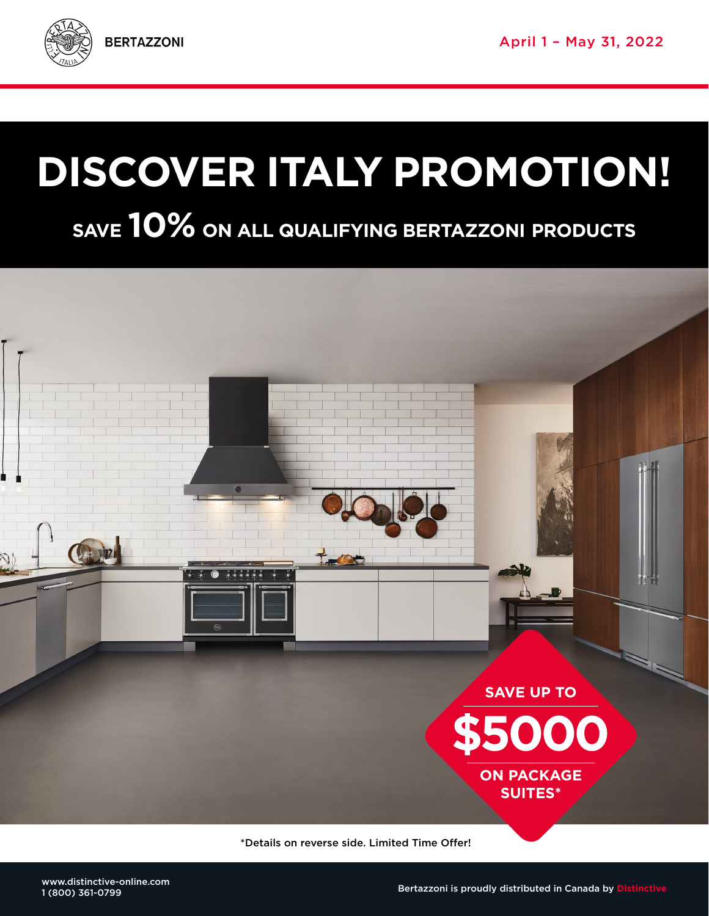

# **DISCOVER ITALY PROMOTION!**

## **SAVE 10% ON ALL QUALIFYING BERTAZZONI PRODUCTS**



\*Details on reverse side. Limited Time Offer!